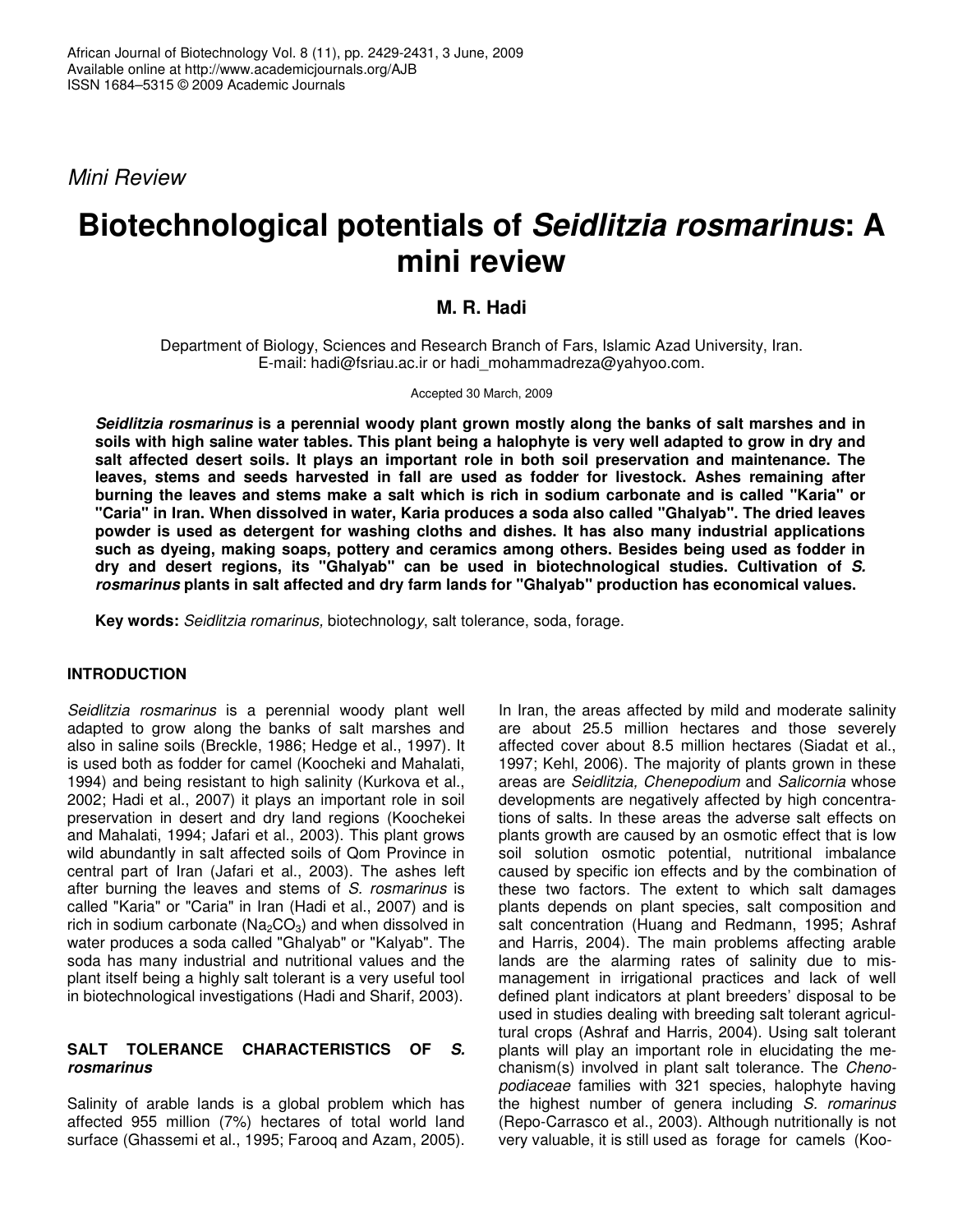*Mini Review*

# **Biotechnological potentials of** *Seidlitzia rosmarinus***: A mini review**

## **M. R. Hadi**

Department of Biology, Sciences and Research Branch of Fars, Islamic Azad University, Iran. E-mail: hadi@fsriau.ac.ir or hadi\_mohammadreza@yahyoo.com.

Accepted 30 March, 2009

*Seidlitzia rosmarinus* **is a perennial woody plant grown mostly along the banks of salt marshes and in** soils with high saline water tables. This plant being a halophyte is very well adapted to grow in dry and **salt affected desert soils. It plays an important role in both soil preservation and maintenance. The leaves, stems and seeds harvested in fall are used as fodder for livestock. Ashes remaining after** burning the leaves and stems make a salt which is rich in sodium carbonate and is called "Karia" or **"Caria" in Iran. When dissolved in water, Karia produces a soda also called "Ghalyab". The dried leaves powder is used as detergent for washing cloths and dishes. It has also many industrial applications such as dyeing, making soaps, pottery and ceramics among others. Besides being used as fodder in dry and desert regions, its "Ghalyab" can be used in biotechnological studies. Cultivation of** *S. rosmarinus* **plants in salt affected and dry farm lands for "Ghalyab" production has economical values.**

**Key words:** *Seidlitzia romarinus,* biotechnolog*y*, salt tolerance, soda, forage.

### **INTRODUCTION**

*Seidlitzia rosmarinus* is a perennial woody plant well adapted to grow along the banks of salt marshes and also in saline soils (Breckle, 1986; Hedge et al., 1997). It is used both as fodder for camel (Koocheki and Mahalati, 1994) and being resistant to high salinity (Kurkova et al., 2002; Hadi et al., 2007) it plays an important role in soil preservation in desert and dry land regions (Koochekei and Mahalati, 1994; Jafari et al., 2003). This plant grows wild abundantly in salt affected soils of Qom Province in central part of Iran (Jafari et al., 2003). The ashes left after burning the leaves and stems of *S. rosmarinus* is called "Karia" or "Caria" in Iran (Hadi et al., 2007) and is rich in sodium carbonate ( $Na<sub>2</sub>CO<sub>3</sub>$ ) and when dissolved in water produces a soda called "Ghalyab" or "Kalyab". The soda has many industrial and nutritional values and the plant itself being a highly salt tolerant is a very useful tool in biotechnological investigations (Hadi and Sharif, 2003).

### **SALT TOLERANCE CHARACTERISTICS OF** *S. rosmarinus*

Salinity of arable lands is a global problem which has affected 955 million (7%) hectares of total world land surface (Ghassemi et al., 1995; Farooq and Azam, 2005).

In Iran, the areas affected by mild and moderate salinity are about 25.5 million hectares and those severely affected cover about 8.5 million hectares (Siadat et al., 1997; Kehl, 2006). The majority of plants grown in these areas are *Seidlitzia, Chenepodium* and *Salicornia* whose developments are negatively affected by high concentrations of salts. In these areas the adverse salt effects on plants growth are caused by an osmotic effect that is low soil solution osmotic potential, nutritional imbalance caused by specific ion effects and by the combination of these two factors. The extent to which salt damages plants depends on plant species, salt composition and salt concentration (Huang and Redmann, 1995; Ashraf and Harris, 2004). The main problems affecting arable lands are the alarming rates of salinity due to mismanagement in irrigational practices and lack of well defined plant indicators at plant breeders' disposal to be used in studies dealing with breeding salt tolerant agricultural crops (Ashraf and Harris, 2004). Using salt tolerant plants will play an important role in elucidating the mechanism(s) involved in plant salt tolerance. The *Chenopodiaceae* families with 321 species, halophyte having the highest number of genera including *S. romarinus* (Repo-Carrasco et al., 2003). Although nutritionally is not very valuable, it is still used as forage for camels (Koo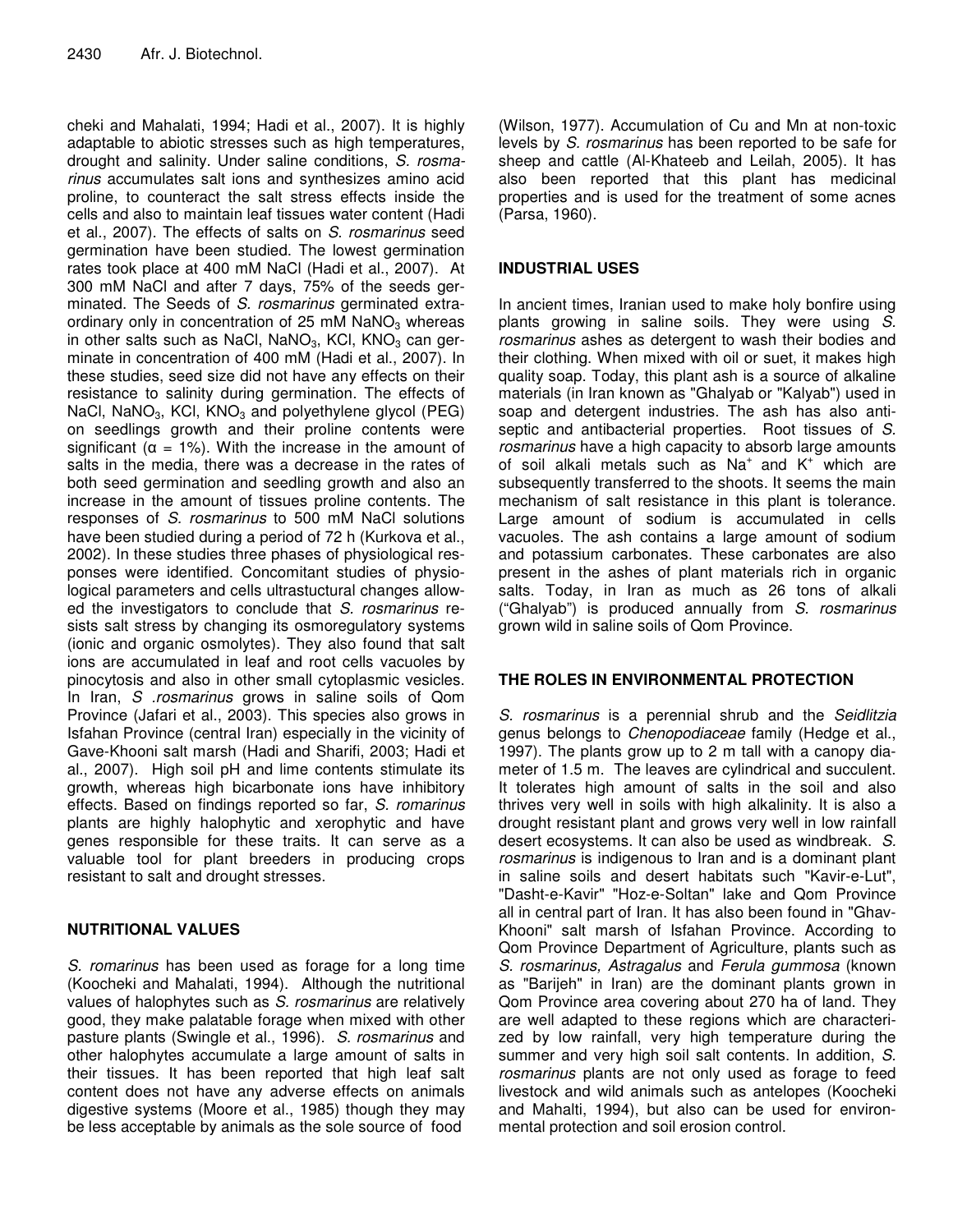cheki and Mahalati, 1994; Hadi et al., 2007). It is highly adaptable to abiotic stresses such as high temperatures, drought and salinity. Under saline conditions, *S. rosmarinus* accumulates salt ions and synthesizes amino acid proline, to counteract the salt stress effects inside the cells and also to maintain leaf tissues water content (Hadi et al., 2007). The effects of salts on *S*. *rosmarinus* seed germination have been studied. The lowest germination rates took place at 400 mM NaCl (Hadi et al., 2007). At 300 mM NaCl and after 7 days, 75% of the seeds germinated. The Seeds of *S. rosmarinus* germinated extraordinary only in concentration of 25 mM  $NaNO<sub>3</sub>$  whereas in other salts such as NaCl, NaNO<sub>3</sub>, KCl, KNO<sub>3</sub> can germinate in concentration of 400 mM (Hadi et al., 2007). In these studies, seed size did not have any effects on their resistance to salinity during germination. The effects of NaCl, NaNO<sub>3</sub>, KCl, KNO<sub>3</sub> and polyethylene glycol (PEG) on seedlings growth and their proline contents were significant ( $\alpha = 1\%$ ). With the increase in the amount of salts in the media, there was a decrease in the rates of both seed germination and seedling growth and also an increase in the amount of tissues proline contents. The responses of *S. rosmarinus* to 500 mM NaCl solutions have been studied during a period of 72 h (Kurkova et al., 2002). In these studies three phases of physiological responses were identified. Concomitant studies of physiological parameters and cells ultrastuctural changes allowed the investigators to conclude that *S. rosmarinus* resists salt stress by changing its osmoregulatory systems (ionic and organic osmolytes). They also found that salt ions are accumulated in leaf and root cells vacuoles by pinocytosis and also in other small cytoplasmic vesicles. In Iran, *S .rosmarinus* grows in saline soils of Qom Province (Jafari et al., 2003). This species also grows in Isfahan Province (central Iran) especially in the vicinity of Gave-Khooni salt marsh (Hadi and Sharifi, 2003; Hadi et al., 2007). High soil pH and lime contents stimulate its growth, whereas high bicarbonate ions have inhibitory effects. Based on findings reported so far, *S. romarinus* plants are highly halophytic and xerophytic and have genes responsible for these traits. It can serve as a valuable tool for plant breeders in producing crops resistant to salt and drought stresses.

## **NUTRITIONAL VALUES**

*S. romarinus* has been used as forage for a long time (Koocheki and Mahalati, 1994). Although the nutritional values of halophytes such as *S. rosmarinus* are relatively good, they make palatable forage when mixed with other pasture plants (Swingle et al., 1996). *S. rosmarinus* and other halophytes accumulate a large amount of salts in their tissues. It has been reported that high leaf salt content does not have any adverse effects on animals digestive systems (Moore et al., 1985) though they may be less acceptable by animals as the sole source of food

(Wilson, 1977). Accumulation of Cu and Mn at non-toxic levels by *S. rosmarinus* has been reported to be safe for sheep and cattle (Al-Khateeb and Leilah, 2005). It has also been reported that this plant has medicinal properties and is used for the treatment of some acnes (Parsa, 1960).

## **INDUSTRIAL USES**

In ancient times, Iranian used to make holy bonfire using plants growing in saline soils. They were using *S. rosmarinus* ashes as detergent to wash their bodies and their clothing. When mixed with oil or suet, it makes high quality soap. Today, this plant ash is a source of alkaline materials (in Iran known as "Ghalyab or "Kalyab") used in soap and detergent industries. The ash has also antiseptic and antibacterial properties. Root tissues of *S. rosmarinus* have a high capacity to absorb large amounts of soil alkali metals such as  $Na<sup>+</sup>$  and  $K<sup>+</sup>$  which are subsequently transferred to the shoots. It seems the main mechanism of salt resistance in this plant is tolerance. Large amount of sodium is accumulated in cells vacuoles. The ash contains a large amount of sodium and potassium carbonates. These carbonates are also present in the ashes of plant materials rich in organic salts. Today, in Iran as much as 26 tons of alkali ("Ghalyab") is produced annually from *S. rosmarinus* grown wild in saline soils of Qom Province.

### **THE ROLES IN ENVIRONMENTAL PROTECTION**

*S. rosmarinus* is a perennial shrub and the *Seidlitzia* genus belongs to *Chenopodiaceae* family (Hedge et al., 1997). The plants grow up to 2 m tall with a canopy diameter of 1.5 m. The leaves are cylindrical and succulent. It tolerates high amount of salts in the soil and also thrives very well in soils with high alkalinity. It is also a drought resistant plant and grows very well in low rainfall desert ecosystems. It can also be used as windbreak. *S. rosmarinus* is indigenous to Iran and is a dominant plant in saline soils and desert habitats such "Kavir-e-Lut", "Dasht-e-Kavir" "Hoz-e-Soltan" lake and Qom Province all in central part of Iran. It has also been found in "Ghav-Khooni" salt marsh of Isfahan Province. According to Qom Province Department of Agriculture, plants such as *S. rosmarinus, Astragalus* and *Ferula gummosa* (known as "Barijeh" in Iran) are the dominant plants grown in Qom Province area covering about 270 ha of land. They are well adapted to these regions which are characterized by low rainfall, very high temperature during the summer and very high soil salt contents. In addition, *S. rosmarinus* plants are not only used as forage to feed livestock and wild animals such as antelopes (Koocheki and Mahalti, 1994), but also can be used for environmental protection and soil erosion control.